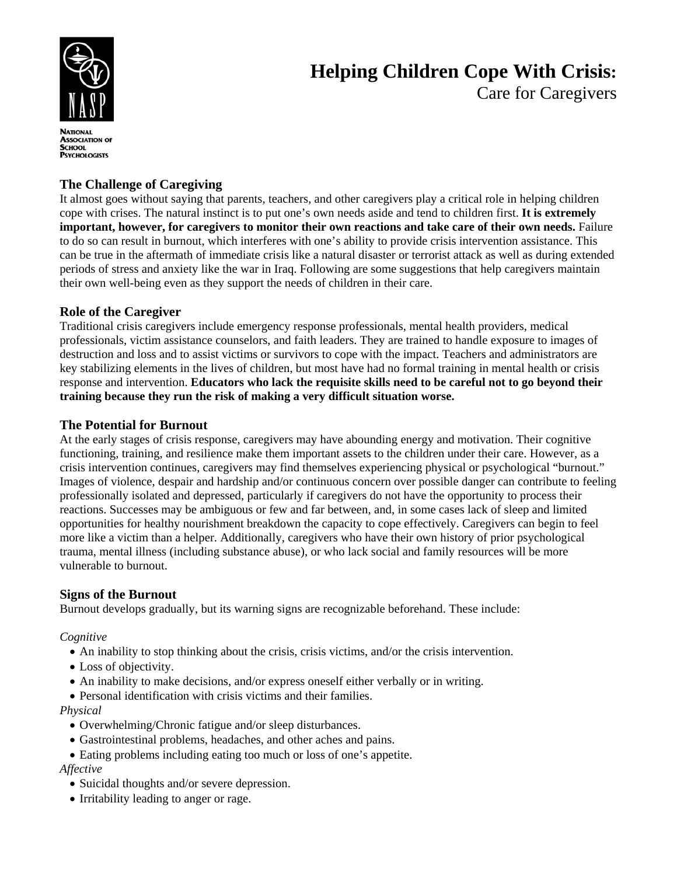

# **Helping Children Cope With Crisis:**  Care for Caregivers

**ASSOCIATION OF** SCHOOL **PSYCHOLOGISTS** 

# **The Challenge of Caregiving**

It almost goes without saying that parents, teachers, and other caregivers play a critical role in helping children cope with crises. The natural instinct is to put one's own needs aside and tend to children first. **It is extremely important, however, for caregivers to monitor their own reactions and take care of their own needs.** Failure to do so can result in burnout, which interferes with one's ability to provide crisis intervention assistance. This can be true in the aftermath of immediate crisis like a natural disaster or terrorist attack as well as during extended periods of stress and anxiety like the war in Iraq. Following are some suggestions that help caregivers maintain their own well-being even as they support the needs of children in their care.

# **Role of the Caregiver**

Traditional crisis caregivers include emergency response professionals, mental health providers, medical professionals, victim assistance counselors, and faith leaders. They are trained to handle exposure to images of destruction and loss and to assist victims or survivors to cope with the impact. Teachers and administrators are key stabilizing elements in the lives of children, but most have had no formal training in mental health or crisis response and intervention. **Educators who lack the requisite skills need to be careful not to go beyond their training because they run the risk of making a very difficult situation worse.** 

#### **The Potential for Burnout**

At the early stages of crisis response, caregivers may have abounding energy and motivation. Their cognitive functioning, training, and resilience make them important assets to the children under their care. However, as a crisis intervention continues, caregivers may find themselves experiencing physical or psychological "burnout." Images of violence, despair and hardship and/or continuous concern over possible danger can contribute to feeling professionally isolated and depressed, particularly if caregivers do not have the opportunity to process their reactions. Successes may be ambiguous or few and far between, and, in some cases lack of sleep and limited opportunities for healthy nourishment breakdown the capacity to cope effectively. Caregivers can begin to feel more like a victim than a helper. Additionally, caregivers who have their own history of prior psychological trauma, mental illness (including substance abuse), or who lack social and family resources will be more vulnerable to burnout.

#### **Signs of the Burnout**

Burnout develops gradually, but its warning signs are recognizable beforehand. These include:

*Cognitive* 

- An inability to stop thinking about the crisis, crisis victims, and/or the crisis intervention.
- Loss of objectivity.
- An inability to make decisions, and/or express oneself either verbally or in writing.
- Personal identification with crisis victims and their families.

#### *Physical*

- Overwhelming/Chronic fatigue and/or sleep disturbances.
- Gastrointestinal problems, headaches, and other aches and pains.
- Eating problems including eating too much or loss of one's appetite. *Affective* 
	- Suicidal thoughts and/or severe depression.
	- Irritability leading to anger or rage.